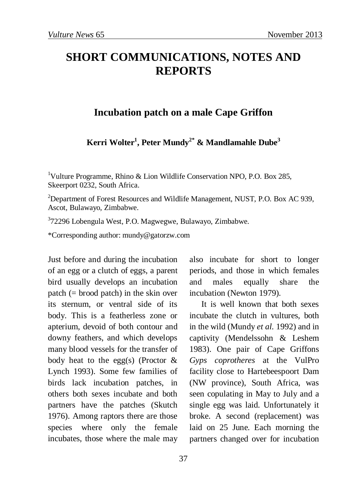## **SHORT COMMUNICATIONS, NOTES AND REPORTS**

## **Incubation patch on a male Cape Griffon**

**Kerri Wolter1 , Peter Mundy2\* & Mandlamahle Dube<sup>3</sup>**

<sup>1</sup>Vulture Programme, Rhino & Lion Wildlife Conservation NPO, P.O. Box 285, Skeerport 0232, South Africa.

<sup>2</sup>Department of Forest Resources and Wildlife Management, NUST, P.O. Box AC 939, Ascot, Bulawayo, Zimbabwe.

3 72296 Lobengula West, P.O. Magwegwe, Bulawayo, Zimbabwe.

\*Corresponding author: mundy@gatorzw.com

Just before and during the incubation of an egg or a clutch of eggs, a parent bird usually develops an incubation patch (= brood patch) in the skin over its sternum, or ventral side of its body. This is a featherless zone or apterium, devoid of both contour and downy feathers, and which develops many blood vessels for the transfer of body heat to the egg(s) (Proctor  $\&$ Lynch 1993). Some few families of birds lack incubation patches, in others both sexes incubate and both partners have the patches (Skutch 1976). Among raptors there are those species where only the female incubates, those where the male may

also incubate for short to longer periods, and those in which females and males equally share the incubation (Newton 1979).

It is well known that both sexes incubate the clutch in vultures, both in the wild (Mundy *et al.* 1992) and in captivity (Mendelssohn & Leshem 1983). One pair of Cape Griffons *Gyps coprotheres* at the VulPro facility close to Hartebeespoort Dam (NW province), South Africa, was seen copulating in May to July and a single egg was laid. Unfortunately it broke. A second (replacement) was laid on 25 June. Each morning the partners changed over for incubation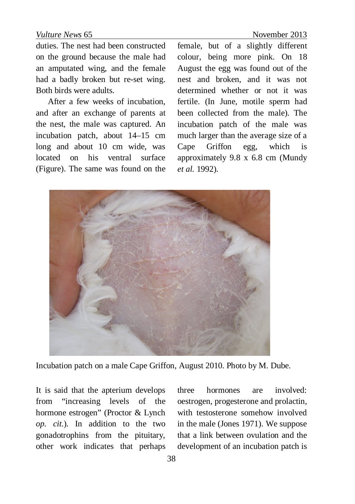## *Vulture News* 65 November 2013

duties. The nest had been constructed on the ground because the male had an amputated wing, and the female had a badly broken but re-set wing. Both birds were adults.

After a few weeks of incubation, and after an exchange of parents at the nest, the male was captured. An incubation patch, about 14–15 cm long and about 10 cm wide, was located on his ventral surface (Figure). The same was found on the female, but of a slightly different colour, being more pink. On 18 August the egg was found out of the nest and broken, and it was not determined whether or not it was fertile. (In June, motile sperm had been collected from the male). The incubation patch of the male was much larger than the average size of a Cape Griffon egg, which is approximately 9.8 x 6.8 cm (Mundy *et al.* 1992).



Incubation patch on a male Cape Griffon, August 2010. Photo by M. Dube.

It is said that the apterium develops from "increasing levels of the hormone estrogen" (Proctor & Lynch *op. cit*.). In addition to the two gonadotrophins from the pituitary, other work indicates that perhaps three hormones are involved: oestrogen, progesterone and prolactin, with testosterone somehow involved in the male (Jones 1971). We suppose that a link between ovulation and the development of an incubation patch is